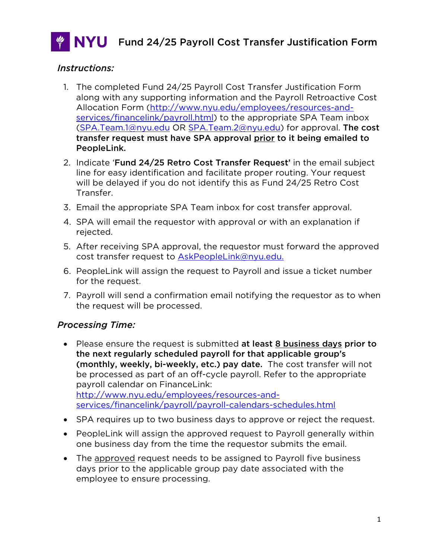

### *Instructions:*

- 1. The completed Fund 24/25 Payroll Cost Transfer Justification Form along with any supporting information and the Payroll Retroactive Cost Allocation Form [\(http://www.nyu.edu/employees/resources-and](http://www.nyu.edu/employees/resources-and-services/financelink/payroll.html)[services/financelink/payroll.html\)](http://www.nyu.edu/employees/resources-and-services/financelink/payroll.html) to the appropriate SPA Team inbox [\(SPA.Team.1@nyu.edu](mailto:SPA.Team.1@nyu.edu) OR [SPA.Team.2@nyu.edu\)](mailto:SPA.Team.2@nyu.edu) for approval. The cost transfer request must have SPA approval prior to it being emailed to PeopleLink.
- 2. Indicate 'Fund 24/25 Retro Cost Transfer Request' in the email subject line for easy identification and facilitate proper routing. Your request will be delayed if you do not identify this as Fund 24/25 Retro Cost Transfer.
- 3. Email the appropriate SPA Team inbox for cost transfer approval.
- 4. SPA will email the requestor with approval or with an explanation if rejected.
- 5. After receiving SPA approval, the requestor must forward the approved cost transfer request to [AskPeopleLink@nyu.edu.](mailto:AskPeopleLink@nyu.edu)
- 6. PeopleLink will assign the request to Payroll and issue a ticket number for the request.
- 7. Payroll will send a confirmation email notifying the requestor as to when the request will be processed.

### *Processing Time:*

- Please ensure the request is submitted at least 8 business days prior to the next regularly scheduled payroll for that applicable group's (monthly, weekly, bi-weekly, etc.) pay date. The cost transfer will not be processed as part of an off-cycle payroll. Refer to the appropriate payroll calendar on FinanceLink: [http://www.nyu.edu/employees/resources-and](http://www.nyu.edu/employees/resources-and-services/financelink/payroll/payroll-calendars-schedules.html)[services/financelink/payroll/payroll-calendars-schedules.html](http://www.nyu.edu/employees/resources-and-services/financelink/payroll/payroll-calendars-schedules.html)
- SPA requires up to two business days to approve or reject the request.
- PeopleLink will assign the approved request to Payroll generally within one business day from the time the requestor submits the email.
- The approved request needs to be assigned to Payroll five business days prior to the applicable group pay date associated with the employee to ensure processing.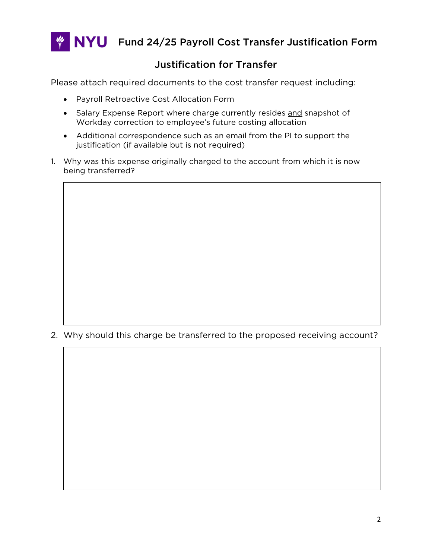

 $\frac{4}{7}$  NYU Fund 24/25 Payroll Cost Transfer Justification Form

## Justification for Transfer

Please attach required documents to the cost transfer request including:

- Payroll Retroactive Cost Allocation Form
- Salary Expense Report where charge currently resides and snapshot of Workday correction to employee's future costing allocation
- Additional correspondence such as an email from the PI to support the justification (if available but is not required)
- 1. Why was this expense originally charged to the account from which it is now being transferred?

2. Why should this charge be transferred to the proposed receiving account?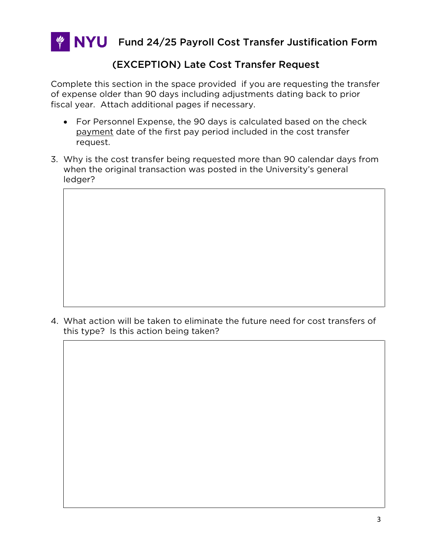

## (EXCEPTION) Late Cost Transfer Request

Complete this section in the space provided if you are requesting the transfer of expense older than 90 days including adjustments dating back to prior fiscal year. Attach additional pages if necessary.

- For Personnel Expense, the 90 days is calculated based on the check payment date of the first pay period included in the cost transfer request.
- 3. Why is the cost transfer being requested more than 90 calendar days from when the original transaction was posted in the University's general ledger?

4. What action will be taken to eliminate the future need for cost transfers of this type? Is this action being taken?